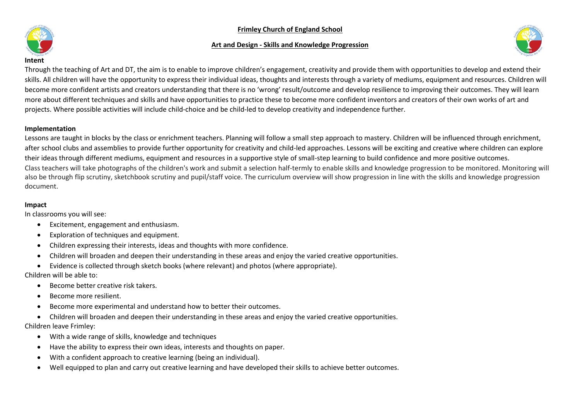## **Frimley Church of England School**

## **Art and Design - Skills and Knowledge Progression**



#### **Intent**

Through the teaching of Art and DT, the aim is to enable to improve children's engagement, creativity and provide them with opportunities to develop and extend their skills. All children will have the opportunity to express their individual ideas, thoughts and interests through a variety of mediums, equipment and resources. Children will become more confident artists and creators understanding that there is no 'wrong' result/outcome and develop resilience to improving their outcomes. They will learn more about different techniques and skills and have opportunities to practice these to become more confident inventors and creators of their own works of art and projects. Where possible activities will include child-choice and be child-led to develop creativity and independence further.

### **Implementation**

Lessons are taught in blocks by the class or enrichment teachers. Planning will follow a small step approach to mastery. Children will be influenced through enrichment, after school clubs and assemblies to provide further opportunity for creativity and child-led approaches. Lessons will be exciting and creative where children can explore their ideas through different mediums, equipment and resources in a supportive style of small-step learning to build confidence and more positive outcomes. Class teachers will take photographs of the children's work and submit a selection half-termly to enable skills and knowledge progression to be monitored. Monitoring will also be through flip scrutiny, sketchbook scrutiny and pupil/staff voice. The curriculum overview will show progression in line with the skills and knowledge progression document.

#### **Impact**

In classrooms you will see:

- Excitement, engagement and enthusiasm.
- Exploration of techniques and equipment.
- Children expressing their interests, ideas and thoughts with more confidence.
- Children will broaden and deepen their understanding in these areas and enjoy the varied creative opportunities.
- Evidence is collected through sketch books (where relevant) and photos (where appropriate).

Children will be able to:

- Become better creative risk takers.
- Become more resilient.
- Become more experimental and understand how to better their outcomes.
- Children will broaden and deepen their understanding in these areas and enjoy the varied creative opportunities.

Children leave Frimley:

- With a wide range of skills, knowledge and techniques
- Have the ability to express their own ideas, interests and thoughts on paper.
- With a confident approach to creative learning (being an individual).
- Well equipped to plan and carry out creative learning and have developed their skills to achieve better outcomes.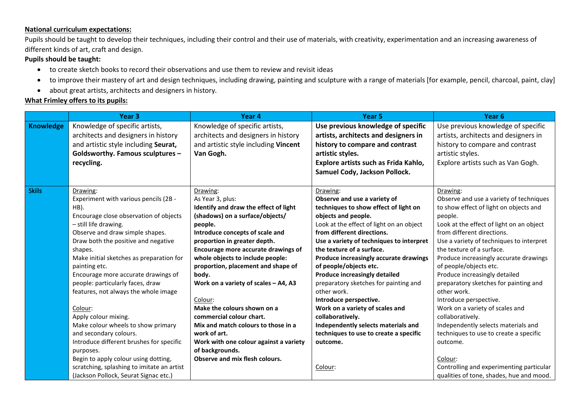## **National curriculum expectations:**

Pupils should be taught to develop their techniques, including their control and their use of materials, with creativity, experimentation and an increasing awareness of different kinds of art, craft and design.

## **Pupils should be taught:**

- to create sketch books to record their observations and use them to review and revisit ideas
- to improve their mastery of art and design techniques, including drawing, painting and sculpture with a range of materials [for example, pencil, charcoal, paint, clay]
- about great artists, architects and designers in history.

# **What Frimley offers to its pupils:**

|                  | Year <sub>3</sub>                          | Year 4                                 | Year <sub>5</sub>                        | Year <sub>6</sub>                        |
|------------------|--------------------------------------------|----------------------------------------|------------------------------------------|------------------------------------------|
| <b>Knowledge</b> | Knowledge of specific artists,             | Knowledge of specific artists,         | Use previous knowledge of specific       | Use previous knowledge of specific       |
|                  | architects and designers in history        | architects and designers in history    | artists, architects and designers in     | artists, architects and designers in     |
|                  | and artistic style including Seurat,       | and artistic style including Vincent   | history to compare and contrast          | history to compare and contrast          |
|                  | Goldsworthy. Famous sculptures -           | Van Gogh.                              | artistic styles.                         | artistic styles.                         |
|                  | recycling.                                 |                                        | Explore artists such as Frida Kahlo,     | Explore artists such as Van Gogh.        |
|                  |                                            |                                        | Samuel Cody, Jackson Pollock.            |                                          |
|                  |                                            |                                        |                                          |                                          |
| <b>Skills</b>    | Drawing:                                   | Drawing:                               | Drawing:                                 | Drawing:                                 |
|                  | Experiment with various pencils (2B -      | As Year 3, plus:                       | Observe and use a variety of             | Observe and use a variety of techniques  |
|                  | HB).                                       | Identify and draw the effect of light  | techniques to show effect of light on    | to show effect of light on objects and   |
|                  | Encourage close observation of objects     | (shadows) on a surface/objects/        | objects and people.                      | people.                                  |
|                  | - still life drawing.                      | people.                                | Look at the effect of light on an object | Look at the effect of light on an object |
|                  | Observe and draw simple shapes.            | Introduce concepts of scale and        | from different directions.               | from different directions.               |
|                  | Draw both the positive and negative        | proportion in greater depth.           | Use a variety of techniques to interpret | Use a variety of techniques to interpret |
|                  | shapes.                                    | Encourage more accurate drawings of    | the texture of a surface.                | the texture of a surface.                |
|                  | Make initial sketches as preparation for   | whole objects to include people:       | Produce increasingly accurate drawings   | Produce increasingly accurate drawings   |
|                  | painting etc.                              | proportion, placement and shape of     | of people/objects etc.                   | of people/objects etc.                   |
|                  | Encourage more accurate drawings of        | body.                                  | <b>Produce increasingly detailed</b>     | Produce increasingly detailed            |
|                  | people: particularly faces, draw           | Work on a variety of scales - A4, A3   | preparatory sketches for painting and    | preparatory sketches for painting and    |
|                  | features, not always the whole image       |                                        | other work.                              | other work.                              |
|                  |                                            | Colour:                                | Introduce perspective.                   | Introduce perspective.                   |
|                  | Colour:                                    | Make the colours shown on a            | Work on a variety of scales and          | Work on a variety of scales and          |
|                  | Apply colour mixing.                       | commercial colour chart.               | collaboratively.                         | collaboratively.                         |
|                  | Make colour wheels to show primary         | Mix and match colours to those in a    | Independently selects materials and      | Independently selects materials and      |
|                  | and secondary colours.                     | work of art.                           | techniques to use to create a specific   | techniques to use to create a specific   |
|                  | Introduce different brushes for specific   | Work with one colour against a variety | outcome.                                 | outcome.                                 |
|                  | purposes.                                  | of backgrounds.                        |                                          |                                          |
|                  | Begin to apply colour using dotting,       | Observe and mix flesh colours.         |                                          | Colour:                                  |
|                  | scratching, splashing to imitate an artist |                                        | Colour:                                  | Controlling and experimenting particular |
|                  | (Jackson Pollock, Seurat Signac etc.)      |                                        |                                          | qualities of tone, shades, hue and mood. |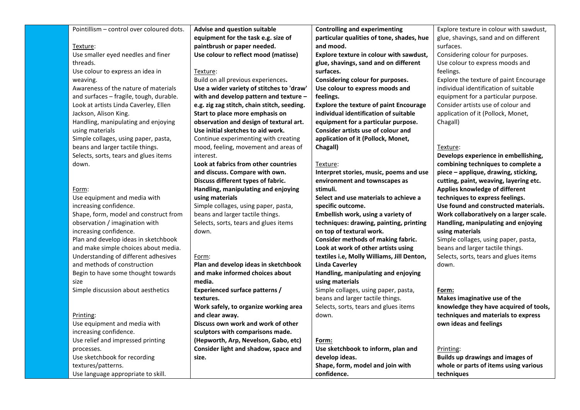| Pointillism - control over coloured dots. | Advise and question suitable                | <b>Controlling and experimenting</b>          | Explore texture in colour with sawdust, |
|-------------------------------------------|---------------------------------------------|-----------------------------------------------|-----------------------------------------|
|                                           | equipment for the task e.g. size of         | particular qualities of tone, shades, hue     | glue, shavings, sand and on different   |
| Texture:                                  | paintbrush or paper needed.                 | and mood.                                     | surfaces.                               |
| Use smaller eyed needles and finer        | Use colour to reflect mood (matisse)        | Explore texture in colour with sawdust,       | Considering colour for purposes.        |
| threads.                                  |                                             | glue, shavings, sand and on different         | Use colour to express moods and         |
| Use colour to express an idea in          | Texture:                                    | surfaces.                                     | feelings.                               |
| weaving.                                  | Build on all previous experiences.          | Considering colour for purposes.              | Explore the texture of paint Encourage  |
| Awareness of the nature of materials      | Use a wider variety of stitches to 'draw'   | Use colour to express moods and               | individual identification of suitable   |
| and surfaces - fragile, tough, durable.   | with and develop pattern and texture -      | feelings.                                     | equipment for a particular purpose.     |
| Look at artists Linda Caverley, Ellen     | e.g. zig zag stitch, chain stitch, seeding. | <b>Explore the texture of paint Encourage</b> | Consider artists use of colour and      |
| Jackson, Alison King.                     | Start to place more emphasis on             | individual identification of suitable         | application of it (Pollock, Monet,      |
| Handling, manipulating and enjoying       | observation and design of textural art.     | equipment for a particular purpose.           | Chagall)                                |
| using materials                           | Use initial sketches to aid work.           | Consider artists use of colour and            |                                         |
| Simple collages, using paper, pasta,      | Continue experimenting with creating        | application of it (Pollock, Monet,            |                                         |
| beans and larger tactile things.          | mood, feeling, movement and areas of        | Chagall)                                      | Texture:                                |
| Selects, sorts, tears and glues items     | interest.                                   |                                               | Develops experience in embellishing,    |
| down.                                     | Look at fabrics from other countries        | Texture:                                      | combining techniques to complete a      |
|                                           | and discuss. Compare with own.              | Interpret stories, music, poems and use       | piece - applique, drawing, sticking,    |
|                                           | Discuss different types of fabric.          | environment and townscapes as                 | cutting, paint, weaving, layering etc.  |
| Form:                                     | Handling, manipulating and enjoying         | stimuli.                                      | Applies knowledge of different          |
| Use equipment and media with              | using materials                             | Select and use materials to achieve a         | techniques to express feelings.         |
| increasing confidence.                    | Simple collages, using paper, pasta,        | specific outcome.                             | Use found and constructed materials.    |
| Shape, form, model and construct from     | beans and larger tactile things.            | Embellish work, using a variety of            | Work collaboratively on a larger scale. |
| observation / imagination with            | Selects, sorts, tears and glues items       | techniques: drawing, painting, printing       | Handling, manipulating and enjoying     |
| increasing confidence.                    | down.                                       | on top of textural work.                      | using materials                         |
| Plan and develop ideas in sketchbook      |                                             | Consider methods of making fabric.            | Simple collages, using paper, pasta,    |
| and make simple choices about media.      |                                             | Look at work of other artists using           | beans and larger tactile things.        |
| Understanding of different adhesives      | Form:                                       | textiles i.e, Molly Williams, Jill Denton,    | Selects, sorts, tears and glues items   |
| and methods of construction               | Plan and develop ideas in sketchbook        | <b>Linda Caverley</b>                         | down.                                   |
| Begin to have some thought towards        | and make informed choices about             | Handling, manipulating and enjoying           |                                         |
| size                                      | media.                                      | using materials                               |                                         |
| Simple discussion about aesthetics        | <b>Experienced surface patterns /</b>       | Simple collages, using paper, pasta,          | Form:                                   |
|                                           | textures.                                   | beans and larger tactile things.              | Makes imaginative use of the            |
|                                           | Work safely, to organize working area       | Selects, sorts, tears and glues items         | knowledge they have acquired of tools,  |
| Printing:                                 | and clear away.                             | down.                                         | techniques and materials to express     |
| Use equipment and media with              | Discuss own work and work of other          |                                               | own ideas and feelings                  |
| increasing confidence.                    | sculptors with comparisons made.            |                                               |                                         |
| Use relief and impressed printing         | (Hepworth, Arp, Nevelson, Gabo, etc)        | Form:                                         |                                         |
| processes.                                | Consider light and shadow, space and        | Use sketchbook to inform, plan and            | Printing:                               |
| Use sketchbook for recording              | size.                                       | develop ideas.                                | <b>Builds up drawings and images of</b> |
| textures/patterns.                        |                                             | Shape, form, model and join with              | whole or parts of items using various   |
| Use language appropriate to skill.        |                                             | confidence.                                   | techniques                              |